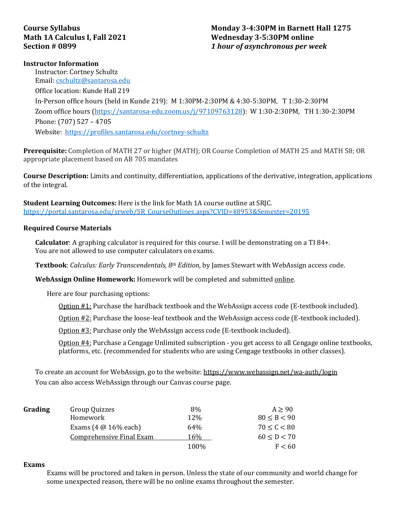# **Course Syllabus Math 1A Calculus I, Fall 2021 Section # 0899**

## **Monday 3-4:30PM in Barnett Hall 1275 Wednesday 3-5:30PM online** *1 hour of asynchronous per week*

### **Instructor Information**

Instructor: Cortney Schultz Email: [cschultz@santarosa.edu](mailto:cschultz@santarosa.edu) Office location: Kunde Hall 219 In-Person office hours (held in Kunde 219): M 1:30PM-2:30PM & 4:30-5:30PM, T 1:30-2:30PM Zoom office hours [\(https://santarosa-edu.zoom.us/j/97109763128\)](https://santarosa-edu.zoom.us/j/97109763128): W 1:30-2:30PM, TH 1:30-2:30PM Phone: (707) 527 – 4705 Website: <https://profiles.santarosa.edu/cortney-schultz>

**Prerequisite:** Completion of MATH 27 or higher (MATH); OR Course Completion of MATH 25 and MATH 58; OR appropriate placement based on AB 705 mandates

**Course Description:** Limits and continuity, differentiation, applications of the derivative, integration, applications of the integral.

**Student Learning Outcomes:** Here is the link for Math 1A course outline at SRJC. [https://portal.santarosa.edu/srweb/SR\\_CourseOutlines.aspx?CVID=48953&Semester=20195](https://portal.santarosa.edu/srweb/SR_CourseOutlines.aspx?CVID=48953&Semester=20195)

### **Required Course Materials**

**Calculator**: A graphing calculator is required for this course. I will be demonstrating on a TI 84+. You are not allowed to use computer calculators on exams.

**Textbook**: *Calculus: Early Transcendentals, 8th Edition*, by James Stewart with WebAssign access code.

**WebAssign Online Homework:** Homework will be completed and submitted online.

Here are four purchasing options:

Option #1: Purchase the hardback textbook and the WebAssign access code (E-textbook included).

Option #2: Purchase the loose-leaf textbook and the WebAssign access code (E-textbook included).

Option #3: Purchase only the WebAssign access code (E-textbook included).

Option #4: Purchase a Cengage Unlimited subscription - you get access to all Cengage online textbooks, platforms, etc. (recommended for students who are using Cengage textbooks in other classes).

To create an account for WebAssign, go to the website: https://www.webassign.net/wa-auth/login You can also access WebAssign through our Canvas course page.

| Grading | Group Quizzes                   | 8%    | A > 90          |
|---------|---------------------------------|-------|-----------------|
|         | Homework                        | 12%   | $80 \le B < 90$ |
|         | Exams $(4 \oslash 16\%$ each)   | 64%   | $70 \le C < 80$ |
|         | <b>Comprehensive Final Exam</b> | 16%   | $60 \le D < 70$ |
|         |                                 | 100\% | F < 60          |

### **Exams**

Exams will be proctored and taken in person. Unless the state of our community and world change for some unexpected reason, there will be no online exams throughout the semester.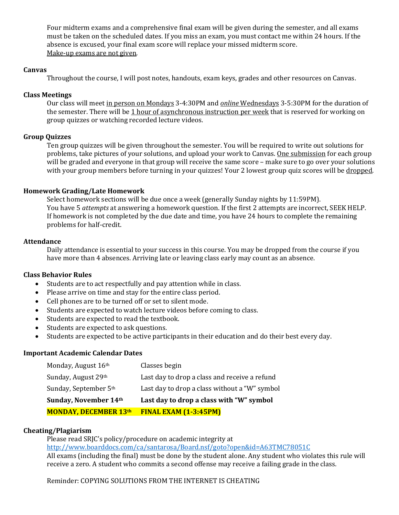Four midterm exams and a comprehensive final exam will be given during the semester, and all exams must be taken on the scheduled dates. If you miss an exam, you must contact me within 24 hours. If the absence is excused, your final exam score will replace your missed midterm score. Make-up exams are not given.

## **Canvas**

Throughout the course, I will post notes, handouts, exam keys, grades and other resources on Canvas.

## **Class Meetings**

Our class will meet in person on Mondays 3-4:30PM and *online* Wednesdays 3-5:30PM for the duration of the semester. There will be 1 hour of asynchronous instruction per week that is reserved for working on group quizzes or watching recorded lecture videos.

## **Group Quizzes**

Ten group quizzes will be given throughout the semester. You will be required to write out solutions for problems, take pictures of your solutions, and upload your work to Canvas. One submission for each group will be graded and everyone in that group will receive the same score – make sure to go over your solutions with your group members before turning in your quizzes! Your 2 lowest group quiz scores will be dropped.

## **Homework Grading/Late Homework**

Select homework sections will be due once a week (generally Sunday nights by 11:59PM). You have 5 *attempts* at answering a homework question. If the first 2 attempts are incorrect, SEEK HELP. If homework is not completed by the due date and time, you have 24 hours to complete the remaining problems for half-credit.

### **Attendance**

Daily attendance is essential to your success in this course. You may be dropped from the course if you have more than 4 absences. Arriving late or leaving class early may count as an absence.

### **Class Behavior Rules**

- Students are to act respectfully and pay attention while in class.
- Please arrive on time and stay for the entire class period.
- Cell phones are to be turned off or set to silent mode.
- Students are expected to watch lecture videos before coming to class.
- Students are expected to read the textbook.
- Students are expected to ask questions.
- Students are expected to be active participants in their education and do their best every day.

### **Important Academic Calendar Dates**

| Monday, August 16th          | Classes begin                                 |
|------------------------------|-----------------------------------------------|
| Sunday, August 29th          | Last day to drop a class and receive a refund |
| Sunday, September 5th        | Last day to drop a class without a "W" symbol |
| Sunday, November 14th        | Last day to drop a class with "W" symbol      |
| <b>MONDAY, DECEMBER 13th</b> | FINAL EXAM (1-3:45PM)                         |

### **Cheating/Plagiarism**

Please read SRJC's policy/procedure on academic integrity at <http://www.boarddocs.com/ca/santarosa/Board.nsf/goto?open&id=A63TMC78051C> All exams (including the final) must be done by the student alone. Any student who violates this rule will receive a zero. A student who commits a second offense may receive a failing grade in the class.

Reminder: COPYING SOLUTIONS FROM THE INTERNET IS CHEATING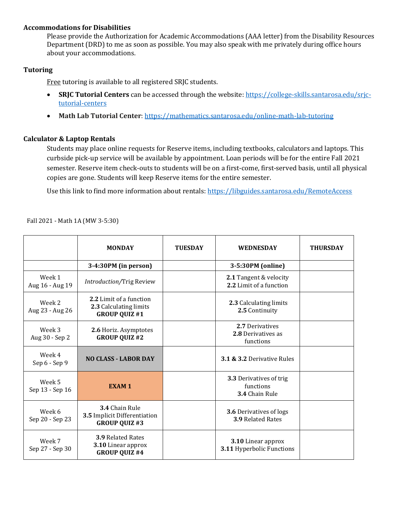## **Accommodations for Disabilities**

Please provide the Authorization for Academic Accommodations (AAA letter) from the Disability Resources Department (DRD) to me as soon as possible. You may also speak with me privately during office hours about your accommodations.

## **Tutoring**

Free tutoring is available to all registered SRJC students.

- **SRJC Tutorial Centers** can be accessed through the website: [https://college-skills.santarosa.edu/srjc](https://college-skills.santarosa.edu/srjc-tutorial-centers)[tutorial-centers](https://college-skills.santarosa.edu/srjc-tutorial-centers)
- **Math Lab Tutorial Center**: <https://mathematics.santarosa.edu/online-math-lab-tutoring>

## **Calculator & Laptop Rentals**

Students may place online requests for Reserve items, including textbooks, calculators and laptops. This curbside pick-up service will be available by appointment. Loan periods will be for the entire Fall 2021 semester. Reserve item check-outs to students will be on a first-come, first-served basis, until all physical copies are gone. Students will keep Reserve items for the entire semester.

Use this link to find more information about rentals[: https://libguides.santarosa.edu/RemoteAccess](https://libguides.santarosa.edu/RemoteAccess)

Fall 2021 - Math 1A (MW 3-5:30)

|                           | <b>MONDAY</b>                                                             | <b>TUESDAY</b> | <b>WEDNESDAY</b>                                           | <b>THURSDAY</b> |
|---------------------------|---------------------------------------------------------------------------|----------------|------------------------------------------------------------|-----------------|
|                           | 3-4:30PM (in person)                                                      |                | 3-5:30PM (online)                                          |                 |
| Week 1<br>Aug 16 - Aug 19 | Introduction/Trig Review                                                  |                | 2.1 Tangent & velocity<br>2.2 Limit of a function          |                 |
| Week 2<br>Aug 23 - Aug 26 | 2.2 Limit of a function<br>2.3 Calculating limits<br><b>GROUP QUIZ #1</b> |                | 2.3 Calculating limits<br>2.5 Continuity                   |                 |
| Week 3<br>Aug 30 - Sep 2  | 2.6 Horiz. Asymptotes<br><b>GROUP QUIZ #2</b>                             |                | 2.7 Derivatives<br>2.8 Derivatives as<br>functions         |                 |
| Week 4<br>Sep 6 - Sep 9   | <b>NO CLASS - LABOR DAY</b>                                               |                | 3.1 & 3.2 Derivative Rules                                 |                 |
| Week 5<br>Sep 13 - Sep 16 | <b>EXAM1</b>                                                              |                | 3.3 Derivatives of trig<br>functions<br>3.4 Chain Rule     |                 |
| Week 6<br>Sep 20 - Sep 23 | 3.4 Chain Rule<br>3.5 Implicit Differentiation<br><b>GROUP QUIZ #3</b>    |                | <b>3.6 Derivatives of logs</b><br><b>3.9 Related Rates</b> |                 |
| Week 7<br>Sep 27 - Sep 30 | <b>3.9 Related Rates</b><br>3.10 Linear approx<br><b>GROUP QUIZ #4</b>    |                | 3.10 Linear approx<br>3.11 Hyperbolic Functions            |                 |